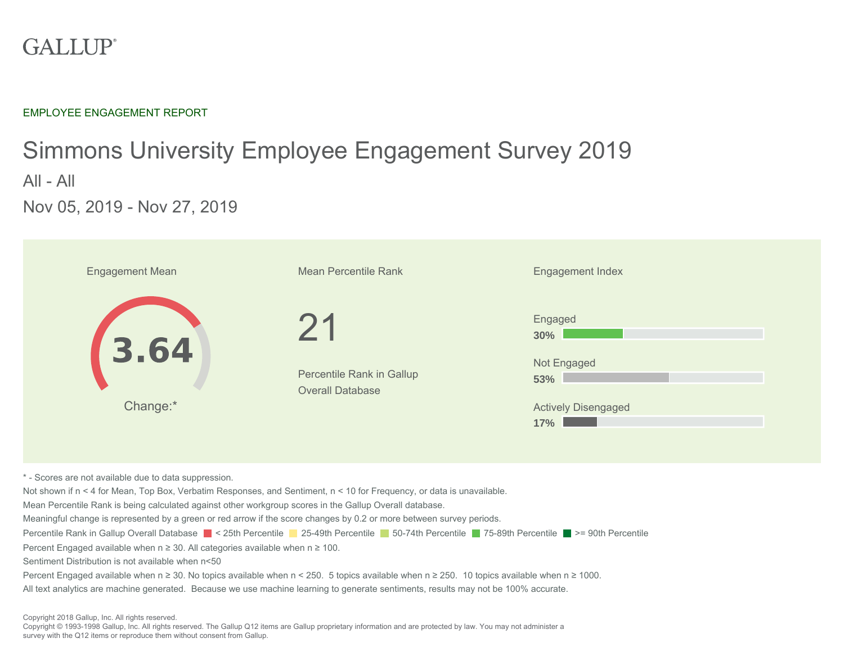### **GALLUP®**

EMPLOYEE ENGAGEMENT REPORT

## Simmons University Employee Engagement Survey 2019 All - All Nov 05, 2019 - Nov 27, 2019

| <b>Engagement Mean</b>                                                                                                                                                                                                                                                                                                                                                                                                                                                                                                                                                                                                                                                                                                                                                                                                                                                                                                                                                                                            | Mean Percentile Rank                                 | <b>Engagement Index</b>                                                   |  |  |  |  |  |
|-------------------------------------------------------------------------------------------------------------------------------------------------------------------------------------------------------------------------------------------------------------------------------------------------------------------------------------------------------------------------------------------------------------------------------------------------------------------------------------------------------------------------------------------------------------------------------------------------------------------------------------------------------------------------------------------------------------------------------------------------------------------------------------------------------------------------------------------------------------------------------------------------------------------------------------------------------------------------------------------------------------------|------------------------------------------------------|---------------------------------------------------------------------------|--|--|--|--|--|
| 3.64<br>Change:*                                                                                                                                                                                                                                                                                                                                                                                                                                                                                                                                                                                                                                                                                                                                                                                                                                                                                                                                                                                                  | Percentile Rank in Gallup<br><b>Overall Database</b> | Engaged<br>30%<br>Not Engaged<br>53%<br><b>Actively Disengaged</b><br>17% |  |  |  |  |  |
| * - Scores are not available due to data suppression.<br>Not shown if n < 4 for Mean, Top Box, Verbatim Responses, and Sentiment, n < 10 for Frequency, or data is unavailable.<br>Mean Percentile Rank is being calculated against other workgroup scores in the Gallup Overall database.<br>Meaningful change is represented by a green or red arrow if the score changes by 0.2 or more between survey periods.<br>Percentile Rank in Gallup Overall Database ■ < 25th Percentile ■ 25-49th Percentile ■ 50-74th Percentile ■ 75-89th Percentile ■ >= 90th Percentile<br>Percent Engaged available when $n \geq 30$ . All categories available when $n \geq 100$ .<br>Sentiment Distribution is not available when n<50<br>Percent Engaged available when n ≥ 30. No topics available when n < 250. 5 topics available when n ≥ 250. 10 topics available when n ≥ 1000.<br>All text analytics are machine generated. Because we use machine learning to generate sentiments, results may not be 100% accurate. |                                                      |                                                                           |  |  |  |  |  |

Copyright 2018 Gallup, Inc. All rights reserved.

Copyright © 1993-1998 Gallup, Inc. All rights reserved. The Gallup Q12 items are Gallup proprietary information and are protected by law. You may not administer a survey with the Q12 items or reproduce them without consent from Gallup.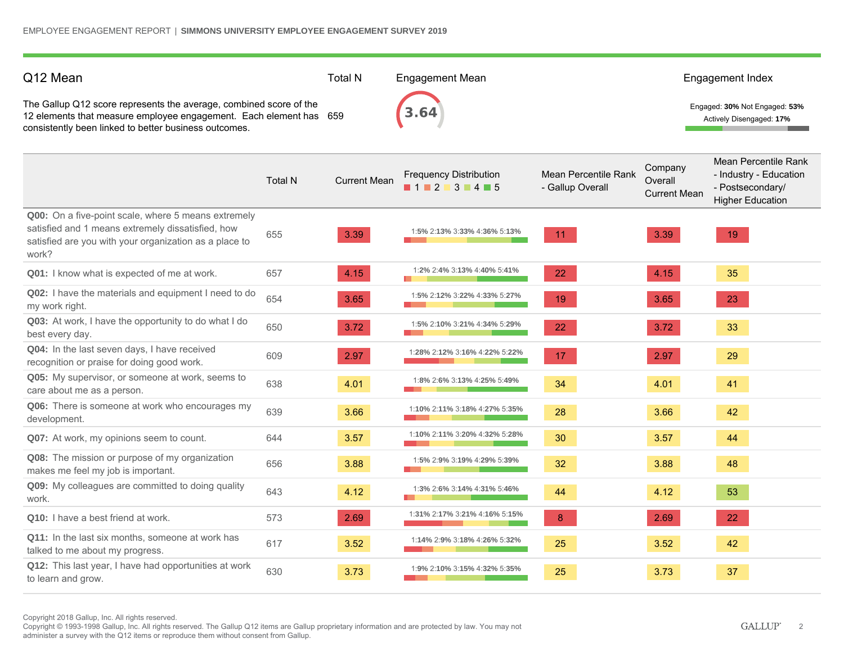| Q12 Mean                                                                                                                                                                                          |                | <b>Total N</b>      | <b>Engagement Mean</b>                     |                                          |                                           | Engagement Index                                                                              |
|---------------------------------------------------------------------------------------------------------------------------------------------------------------------------------------------------|----------------|---------------------|--------------------------------------------|------------------------------------------|-------------------------------------------|-----------------------------------------------------------------------------------------------|
| The Gallup Q12 score represents the average, combined score of the<br>12 elements that measure employee engagement. Each element has 659<br>consistently been linked to better business outcomes. |                |                     |                                            |                                          |                                           | Engaged: 30% Not Engaged: 53%<br>Actively Disengaged: 17%                                     |
|                                                                                                                                                                                                   | <b>Total N</b> | <b>Current Mean</b> | <b>Frequency Distribution</b><br>1 2 3 4 5 | Mean Percentile Rank<br>- Gallup Overall | Company<br>Overall<br><b>Current Mean</b> | Mean Percentile Rank<br>- Industry - Education<br>- Postsecondary/<br><b>Higher Education</b> |
| Q00: On a five-point scale, where 5 means extremely<br>satisfied and 1 means extremely dissatisfied, how<br>satisfied are you with your organization as a place to<br>work?                       | 655            | 3.39                | 1:5% 2:13% 3:33% 4:36% 5:13%               | 11                                       | 3.39                                      | 19                                                                                            |
| Q01: I know what is expected of me at work.                                                                                                                                                       | 657            | 4.15                | 1:2% 2:4% 3:13% 4:40% 5:41%                | 22                                       | 4.15                                      | 35                                                                                            |
| Q02: I have the materials and equipment I need to do<br>my work right.                                                                                                                            | 654            | 3.65                | 1:5% 2:12% 3:22% 4:33% 5:27%               | 19                                       | 3.65                                      | 23                                                                                            |
| Q03: At work, I have the opportunity to do what I do<br>best every day.                                                                                                                           | 650            | 3.72                | 1:5% 2:10% 3:21% 4:34% 5:29%               | 22                                       | 3.72                                      | 33                                                                                            |
| Q04: In the last seven days, I have received<br>recognition or praise for doing good work.                                                                                                        | 609            | 2.97                | 1:28% 2:12% 3:16% 4:22% 5:22%              | 17                                       | 2.97                                      | 29                                                                                            |
| Q05: My supervisor, or someone at work, seems to<br>care about me as a person.                                                                                                                    | 638            | 4.01                | 1:8% 2:6% 3:13% 4:25% 5:49%                | 34                                       | 4.01                                      | 41                                                                                            |
| Q06: There is someone at work who encourages my<br>development.                                                                                                                                   | 639            | 3.66                | 1:10% 2:11% 3:18% 4:27% 5:35%              | 28                                       | 3.66                                      | 42                                                                                            |
| Q07: At work, my opinions seem to count.                                                                                                                                                          | 644            | 3.57                | 1:10% 2:11% 3:20% 4:32% 5:28%              | 30                                       | 3.57                                      | 44                                                                                            |
| Q08: The mission or purpose of my organization<br>makes me feel my job is important.                                                                                                              | 656            | 3.88                | 1:5% 2:9% 3:19% 4:29% 5:39%                | 32                                       | 3.88                                      | 48                                                                                            |
| Q09: My colleagues are committed to doing quality<br>work.                                                                                                                                        | 643            | 4.12                | 1:3% 2:6% 3:14% 4:31% 5:46%                | 44                                       | 4.12                                      | 53                                                                                            |
| Q10: I have a best friend at work.                                                                                                                                                                | 573            | 2.69                | 1:31% 2:17% 3:21% 4:16% 5:15%              | 8                                        | 2.69                                      | 22                                                                                            |
| Q11: In the last six months, someone at work has<br>talked to me about my progress.                                                                                                               | 617            | 3.52                | 1:14% 2:9% 3:18% 4:26% 5:32%               | 25                                       | 3.52                                      | 42                                                                                            |
| Q12: This last year, I have had opportunities at work<br>to learn and grow.                                                                                                                       | 630            | 3.73                | 1:9% 2:10% 3:15% 4:32% 5:35%               | 25                                       | 3.73                                      | 37                                                                                            |

Copyright 2018 Gallup, Inc. All rights reserved.

Copyright © 1993-1998 Gallup, Inc. All rights reserved. The Gallup Q12 items are Gallup proprietary information and are protected by law. You may not administer a survey with the Q12 items or reproduce them without consent from Gallup.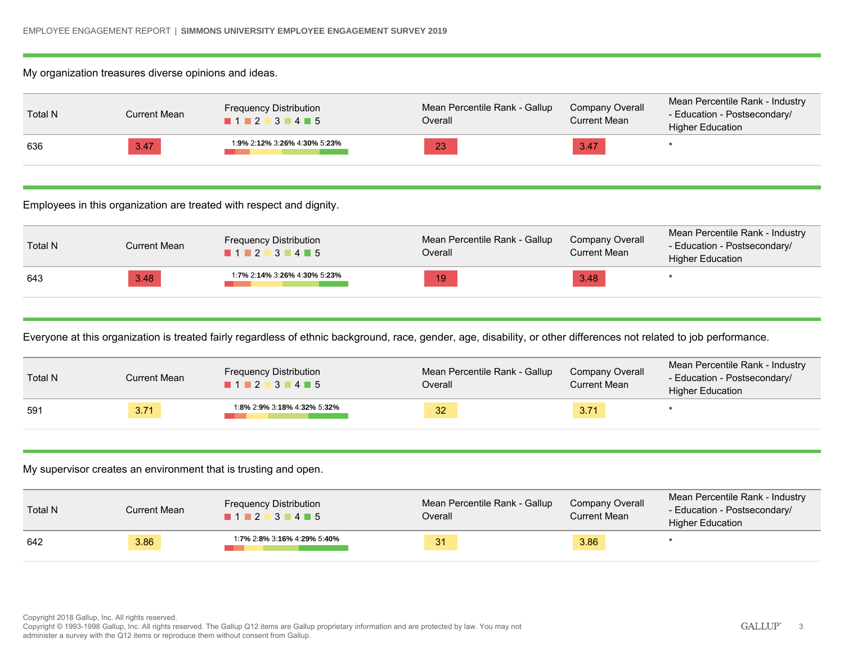### My organization treasures diverse opinions and ideas.

| Total N | Current Mean | <b>Frequency Distribution</b><br>$1 \cdot 2 \cdot 3 \cdot 4 \cdot 5$ | Mean Percentile Rank - Gallup<br>Overall | Company Overall<br>Current Mean | Mean Percentile Rank - Industry<br>- Education - Postsecondary/<br><b>Higher Education</b> |
|---------|--------------|----------------------------------------------------------------------|------------------------------------------|---------------------------------|--------------------------------------------------------------------------------------------|
| 636     | 3.47         | 1:9% 2:12% 3:26% 4:30% 5:23%                                         | 23                                       | 3.47                            |                                                                                            |

Employees in this organization are treated with respect and dignity.

| Total N | Current Mean | <b>Frequency Distribution</b><br>1 2 3 4 5 | Mean Percentile Rank - Gallup<br>Overall | Company Overall<br><b>Current Mean</b> | Mean Percentile Rank - Industry<br>- Education - Postsecondary/<br><b>Higher Education</b> |
|---------|--------------|--------------------------------------------|------------------------------------------|----------------------------------------|--------------------------------------------------------------------------------------------|
| 643     | 3.48         | 1:7% 2:14% 3:26% 4:30% 5:23%               | 19                                       | 3.48                                   |                                                                                            |

Everyone at this organization is treated fairly regardless of ethnic background, race, gender, age, disability, or other differences not related to job performance.

| <b>Total N</b> | Current Mean | <b>Frequency Distribution</b><br>$1 \cdot 2 \cdot 3 \cdot 4 \cdot 5$ | Mean Percentile Rank - Gallup<br>Overall | Company Overall<br>Current Mean | Mean Percentile Rank - Industry<br>- Education - Postsecondary/<br><b>Higher Education</b> |
|----------------|--------------|----------------------------------------------------------------------|------------------------------------------|---------------------------------|--------------------------------------------------------------------------------------------|
| 591            | 3.71         | 1:8% 2:9% 3:18% 4:32% 5:32%                                          | 32                                       | 3.71                            |                                                                                            |

My supervisor creates an environment that is trusting and open.

| <b>Total N</b> | Current Mean | <b>Frequency Distribution</b><br>1 1 2 3 4 5 | Mean Percentile Rank - Gallup<br>Overall | Company Overall<br>Current Mean | Mean Percentile Rank - Industry<br>- Education - Postsecondary/<br><b>Higher Education</b> |
|----------------|--------------|----------------------------------------------|------------------------------------------|---------------------------------|--------------------------------------------------------------------------------------------|
| 642            | 3.86         | 1:7% 2:8% 3:16% 4:29% 5:40%                  | 31                                       | 3.86                            |                                                                                            |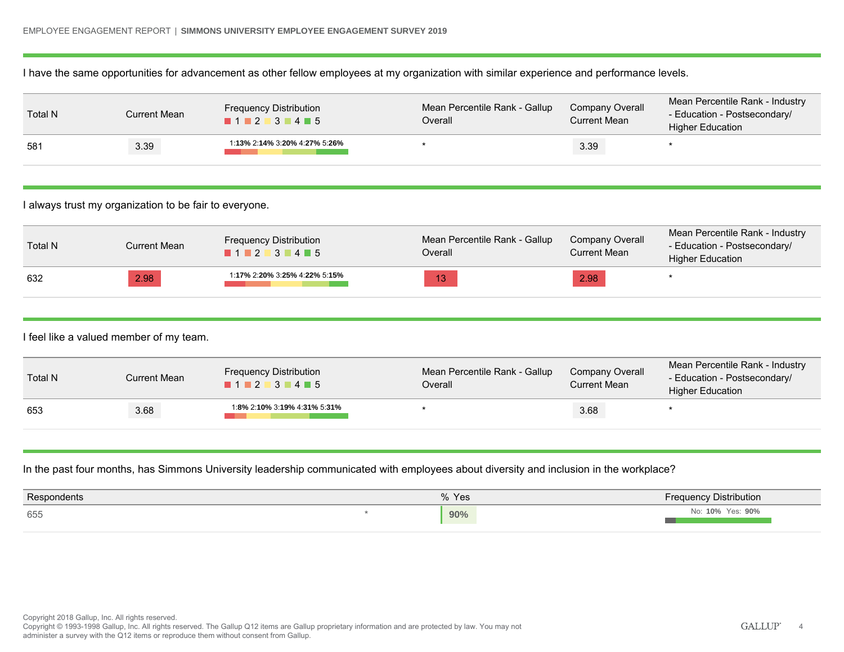I have the same opportunities for advancement as other fellow employees at my organization with similar experience and performance levels.

| Total N | Current Mean | <b>Frequency Distribution</b><br>$1$ 2 3 4 5 | Mean Percentile Rank - Gallup<br>Overall | <b>Company Overall</b><br>Current Mean | Mean Percentile Rank - Industry<br>- Education - Postsecondary/<br><b>Higher Education</b> |
|---------|--------------|----------------------------------------------|------------------------------------------|----------------------------------------|--------------------------------------------------------------------------------------------|
| 581     | 3.39         | 1:13% 2:14% 3:20% 4:27% 5:26%                |                                          | 3.39                                   |                                                                                            |

I always trust my organization to be fair to everyone.

| <b>Total N</b> | Current Mean | <b>Frequency Distribution</b><br>$1$ 2 3 4 5 | Mean Percentile Rank - Gallup<br>Overall | Company Overall<br><b>Current Mean</b> | Mean Percentile Rank - Industry<br>- Education - Postsecondary/<br><b>Higher Education</b> |
|----------------|--------------|----------------------------------------------|------------------------------------------|----------------------------------------|--------------------------------------------------------------------------------------------|
| 632            | 2.98         | 1:17% 2:20% 3:25% 4:22% 5:15%                | 13                                       | 2.98                                   |                                                                                            |

I feel like a valued member of my team.

| Total N | Current Mean | <b>Frequency Distribution</b><br>$\blacksquare$ 1 $\blacksquare$ 2 $\blacksquare$ 3 $\blacksquare$ 4 $\blacksquare$ 5 | Mean Percentile Rank - Gallup<br>Overall | Company Overall<br>Current Mean | Mean Percentile Rank - Industry<br>- Education - Postsecondary/<br><b>Higher Education</b> |
|---------|--------------|-----------------------------------------------------------------------------------------------------------------------|------------------------------------------|---------------------------------|--------------------------------------------------------------------------------------------|
| 653     | 3.68         | 1:8% 2:10% 3:19% 4:31% 5:31%                                                                                          |                                          | 3.68                            |                                                                                            |

In the past four months, has Simmons University leadership communicated with employees about diversity and inclusion in the workplace?

| <b>Respondents</b> | 0/2<br>Yes | <b>Frequency Distribution</b> |
|--------------------|------------|-------------------------------|
| 655                | 90%        | Yes: 90%<br>10%<br>VIU.       |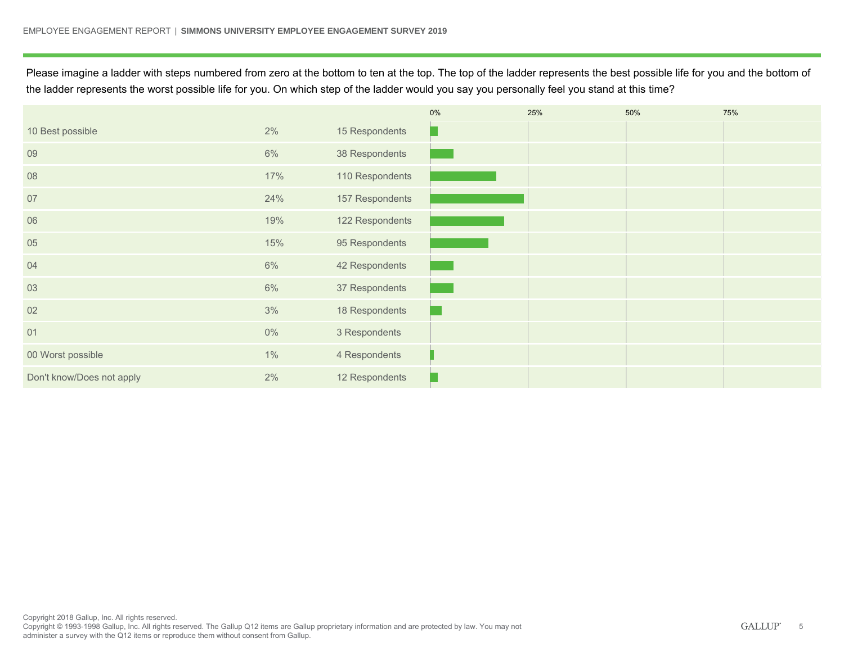Please imagine a ladder with steps numbered from zero at the bottom to ten at the top. The top of the ladder represents the best possible life for you and the bottom of the ladder represents the worst possible life for you. On which step of the ladder would you say you personally feel you stand at this time?

|                           |       |                 | 0% | 25% | 50% | 75% |
|---------------------------|-------|-----------------|----|-----|-----|-----|
| 10 Best possible          | 2%    | 15 Respondents  |    |     |     |     |
| 09                        | 6%    | 38 Respondents  |    |     |     |     |
| 08                        | 17%   | 110 Respondents |    |     |     |     |
| 07                        | 24%   | 157 Respondents |    |     |     |     |
| 06                        | 19%   | 122 Respondents |    |     |     |     |
| 05                        | 15%   | 95 Respondents  |    |     |     |     |
| 04                        | 6%    | 42 Respondents  |    |     |     |     |
| 03                        | 6%    | 37 Respondents  |    |     |     |     |
| 02                        | 3%    | 18 Respondents  |    |     |     |     |
| 01                        | $0\%$ | 3 Respondents   |    |     |     |     |
| 00 Worst possible         | 1%    | 4 Respondents   |    |     |     |     |
| Don't know/Does not apply | 2%    | 12 Respondents  |    |     |     |     |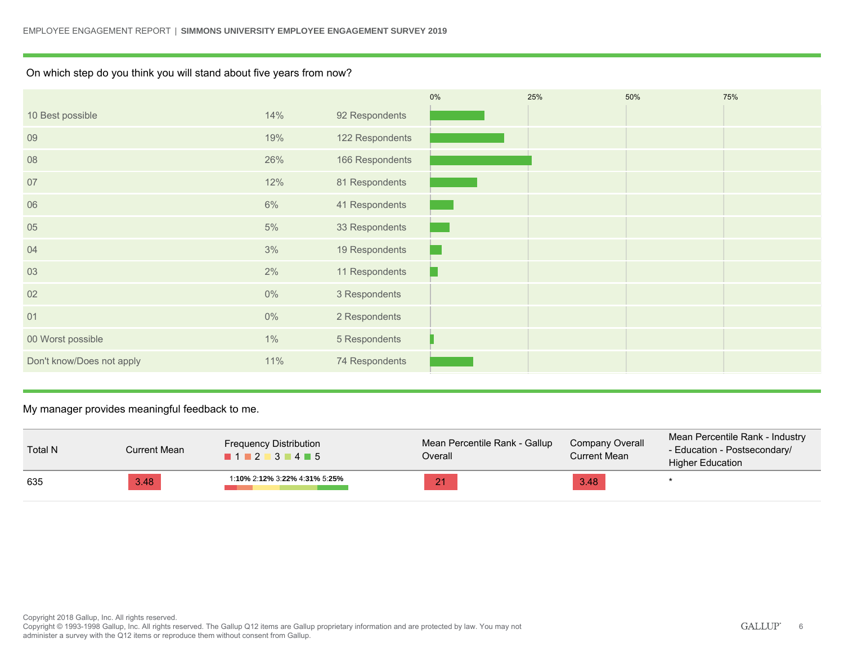### On which step do you think you will stand about five years from now?

|                           |       |                 | $0\%$ | 25% | 50% | 75% |
|---------------------------|-------|-----------------|-------|-----|-----|-----|
| 10 Best possible          | 14%   | 92 Respondents  |       |     |     |     |
| 09                        | 19%   | 122 Respondents |       |     |     |     |
| 08                        | 26%   | 166 Respondents |       |     |     |     |
| 07                        | 12%   | 81 Respondents  |       |     |     |     |
| 06                        | 6%    | 41 Respondents  |       |     |     |     |
| 05                        | 5%    | 33 Respondents  |       |     |     |     |
| 04                        | 3%    | 19 Respondents  |       |     |     |     |
| 03                        | 2%    | 11 Respondents  |       |     |     |     |
| 02                        | $0\%$ | 3 Respondents   |       |     |     |     |
| 01                        | $0\%$ | 2 Respondents   |       |     |     |     |
| 00 Worst possible         | $1\%$ | 5 Respondents   |       |     |     |     |
| Don't know/Does not apply | 11%   | 74 Respondents  |       |     |     |     |

My manager provides meaningful feedback to me.

| <b>Total N</b> | Current Mean | <b>Frequency Distribution</b><br>$1 \cdot 2 \cdot 3 \cdot 4 \cdot 5$ | Mean Percentile Rank - Gallup<br>Overall | Company Overall<br>Current Mean | Mean Percentile Rank - Industry<br>- Education - Postsecondary/<br><b>Higher Education</b> |
|----------------|--------------|----------------------------------------------------------------------|------------------------------------------|---------------------------------|--------------------------------------------------------------------------------------------|
| 635            | 3.48         | 1:10% 2:12% 3:22% 4:31% 5:25%                                        | 21                                       | 3.48                            |                                                                                            |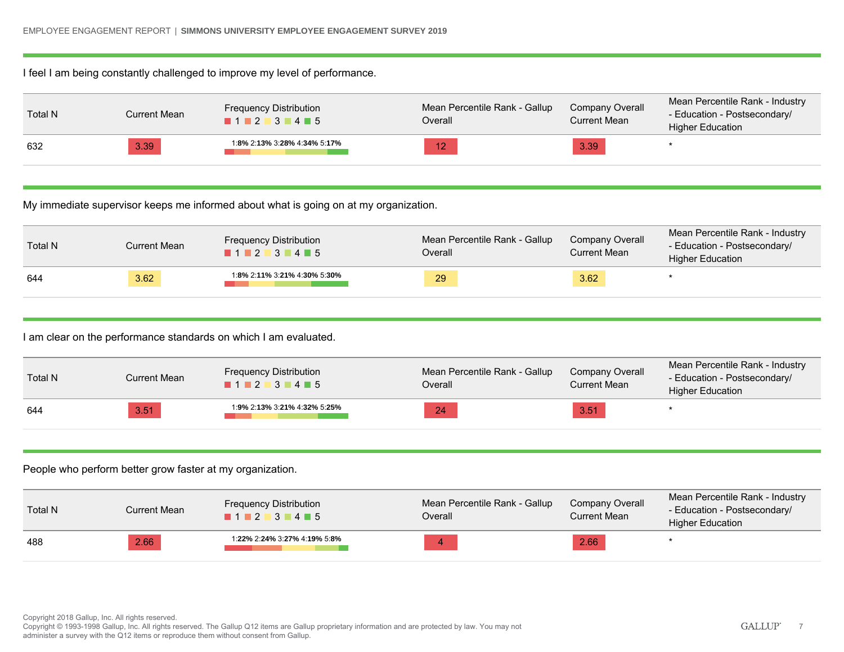### I feel I am being constantly challenged to improve my level of performance.

| Total N | Current Mean | <b>Frequency Distribution</b><br>1123445 | Mean Percentile Rank - Gallup<br>Overall | Company Overall<br>Current Mean | Mean Percentile Rank - Industry<br>- Education - Postsecondary/<br><b>Higher Education</b> |
|---------|--------------|------------------------------------------|------------------------------------------|---------------------------------|--------------------------------------------------------------------------------------------|
| 632     | 3.39         | 1:8% 2:13% 3:28% 4:34% 5:17%             | 12                                       | 3.39                            |                                                                                            |

My immediate supervisor keeps me informed about what is going on at my organization.

| <b>Total N</b> | Current Mean | <b>Frequency Distribution</b><br>1 2 3 4 5 | Mean Percentile Rank - Gallup<br>Overall | Company Overall<br>Current Mean | Mean Percentile Rank - Industry<br>- Education - Postsecondary/<br><b>Higher Education</b> |
|----------------|--------------|--------------------------------------------|------------------------------------------|---------------------------------|--------------------------------------------------------------------------------------------|
| 644            | 3.62         | 1:8% 2:11% 3:21% 4:30% 5:30%               | 29                                       | 3.62                            |                                                                                            |

I am clear on the performance standards on which I am evaluated.

| <b>Total N</b> | Current Mean | <b>Frequency Distribution</b><br>1 1 2 3 4 5 | Mean Percentile Rank - Gallup<br>Overall | Company Overall<br>Current Mean | Mean Percentile Rank - Industry<br>- Education - Postsecondary/<br><b>Higher Education</b> |
|----------------|--------------|----------------------------------------------|------------------------------------------|---------------------------------|--------------------------------------------------------------------------------------------|
| 644            | 3.51         | 1:9% 2:13% 3:21% 4:32% 5:25%                 | 24                                       | 3.51                            |                                                                                            |

### People who perform better grow faster at my organization.

| <b>Total N</b> | Current Mean | <b>Frequency Distribution</b><br>1 1 2 3 4 5 | Mean Percentile Rank - Gallup<br>Overall | Company Overall<br>Current Mean | Mean Percentile Rank - Industry<br>- Education - Postsecondary/<br><b>Higher Education</b> |
|----------------|--------------|----------------------------------------------|------------------------------------------|---------------------------------|--------------------------------------------------------------------------------------------|
| 488            | 2.66         | 1:22% 2:24% 3:27% 4:19% 5:8%                 |                                          | 2.66                            |                                                                                            |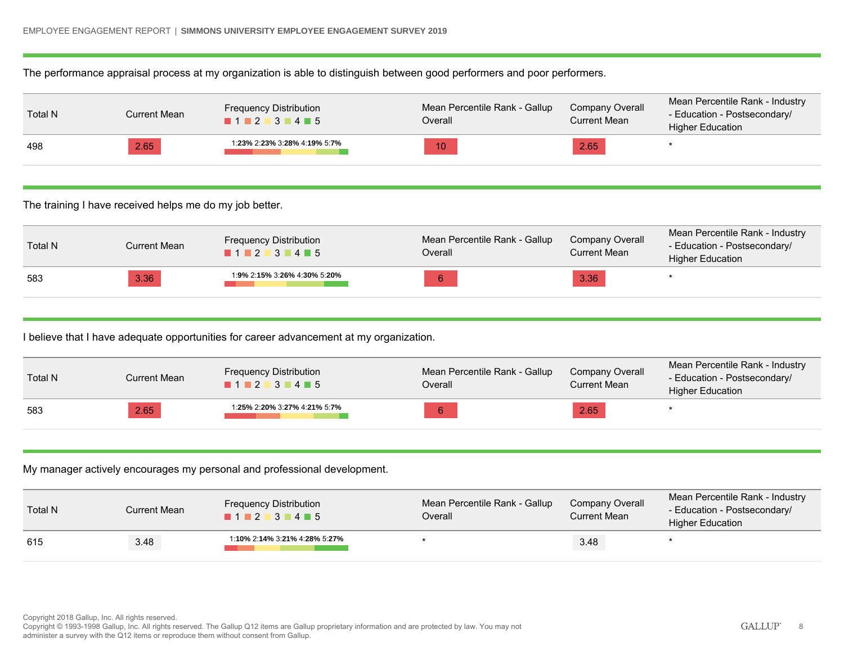The performance appraisal process at my organization is able to distinguish between good performers and poor performers.

| Total N | Current Mean | <b>Frequency Distribution</b><br>$1 \cdot 2 \cdot 3 \cdot 4 \cdot 5$ | Mean Percentile Rank - Gallup<br>Overall | Company Overall<br>Current Mean | Mean Percentile Rank - Industry<br>- Education - Postsecondary/<br><b>Higher Education</b> |
|---------|--------------|----------------------------------------------------------------------|------------------------------------------|---------------------------------|--------------------------------------------------------------------------------------------|
| 498     | 2.65         | 1:23% 2:23% 3:28% 4:19% 5:7%                                         | 10                                       | 2.65                            |                                                                                            |

The training I have received helps me do my job better.

| Total N | Current Mean | <b>Frequency Distribution</b><br>$1$ 2 3 4 5 | Mean Percentile Rank - Gallup<br>Overall | Company Overall<br>Current Mean | Mean Percentile Rank - Industry<br>- Education - Postsecondary/<br><b>Higher Education</b> |
|---------|--------------|----------------------------------------------|------------------------------------------|---------------------------------|--------------------------------------------------------------------------------------------|
| 583     | 3.36         | 1:9% 2:15% 3:26% 4:30% 5:20%                 | 6                                        | 3.36                            |                                                                                            |

I believe that I have adequate opportunities for career advancement at my organization.

| <b>Total N</b> | Current Mean | <b>Frequency Distribution</b><br>1 1 2 3 4 5 | Mean Percentile Rank - Gallup<br>Overall | Company Overall<br>Current Mean | Mean Percentile Rank - Industry<br>- Education - Postsecondary/<br><b>Higher Education</b> |
|----------------|--------------|----------------------------------------------|------------------------------------------|---------------------------------|--------------------------------------------------------------------------------------------|
| 583            | 2.65         | 1:25% 2:20% 3:27% 4:21% 5:7%                 |                                          | 2.65                            |                                                                                            |

My manager actively encourages my personal and professional development.

| Total N | Current Mean | <b>Frequency Distribution</b><br>1123445 | Mean Percentile Rank - Gallup<br>Overall | Company Overall<br>Current Mean | Mean Percentile Rank - Industry<br>- Education - Postsecondary/<br><b>Higher Education</b> |
|---------|--------------|------------------------------------------|------------------------------------------|---------------------------------|--------------------------------------------------------------------------------------------|
| 615     | 3.48         | 1:10% 2:14% 3:21% 4:28% 5:27%            |                                          | 3.48                            |                                                                                            |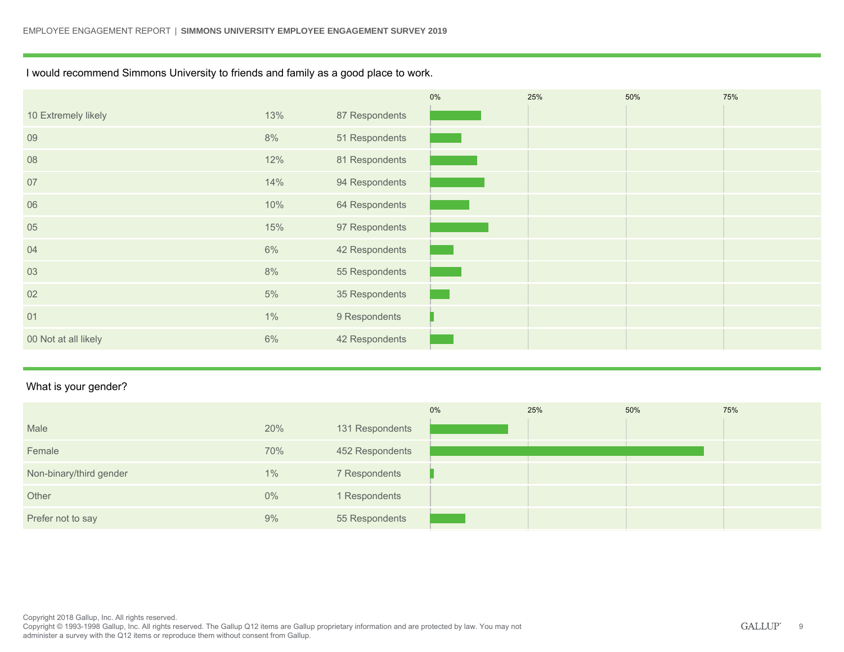I would recommend Simmons University to friends and family as a good place to work.

|                      |       |                | $0\%$ | 25% | 50% | 75% |
|----------------------|-------|----------------|-------|-----|-----|-----|
| 10 Extremely likely  | 13%   | 87 Respondents |       |     |     |     |
| 09                   | 8%    | 51 Respondents |       |     |     |     |
| 08                   | 12%   | 81 Respondents |       |     |     |     |
| 07                   | 14%   | 94 Respondents |       |     |     |     |
| 06                   | 10%   | 64 Respondents |       |     |     |     |
| 05                   | 15%   | 97 Respondents |       |     |     |     |
| 04                   | 6%    | 42 Respondents |       |     |     |     |
| 03                   | 8%    | 55 Respondents |       |     |     |     |
| 02                   | 5%    | 35 Respondents |       |     |     |     |
| 01                   | $1\%$ | 9 Respondents  |       |     |     |     |
| 00 Not at all likely | 6%    | 42 Respondents |       |     |     |     |

### What is your gender?

|                         |       |                 | 0% | 25% | 50% | 75% |
|-------------------------|-------|-----------------|----|-----|-----|-----|
| Male                    | 20%   | 131 Respondents |    |     |     |     |
| Female                  | 70%   | 452 Respondents |    |     |     |     |
| Non-binary/third gender | $1\%$ | 7 Respondents   |    |     |     |     |
| Other                   | $0\%$ | 1 Respondents   |    |     |     |     |
| Prefer not to say       | 9%    | 55 Respondents  |    |     |     |     |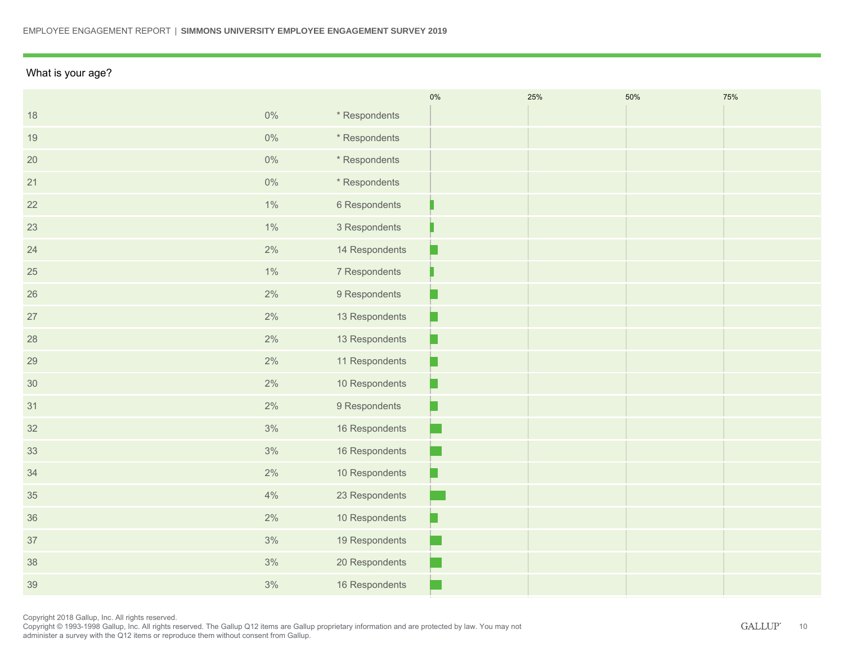### What is your age?

|    |       |                | 0%                                                                                                                    | 25% | 50% | 75% |
|----|-------|----------------|-----------------------------------------------------------------------------------------------------------------------|-----|-----|-----|
| 18 | $0\%$ | * Respondents  |                                                                                                                       |     |     |     |
| 19 | $0\%$ | * Respondents  |                                                                                                                       |     |     |     |
| 20 | $0\%$ | * Respondents  |                                                                                                                       |     |     |     |
| 21 | $0\%$ | * Respondents  |                                                                                                                       |     |     |     |
| 22 | $1\%$ | 6 Respondents  |                                                                                                                       |     |     |     |
| 23 | $1\%$ | 3 Respondents  |                                                                                                                       |     |     |     |
| 24 | $2\%$ | 14 Respondents |                                                                                                                       |     |     |     |
| 25 | 1%    | 7 Respondents  |                                                                                                                       |     |     |     |
| 26 | $2\%$ | 9 Respondents  | hч.                                                                                                                   |     |     |     |
| 27 | $2\%$ | 13 Respondents |                                                                                                                       |     |     |     |
| 28 | $2\%$ | 13 Respondents | H                                                                                                                     |     |     |     |
| 29 | $2\%$ | 11 Respondents | L.                                                                                                                    |     |     |     |
| 30 | 2%    | 10 Respondents | þ.                                                                                                                    |     |     |     |
| 31 | $2\%$ | 9 Respondents  | hч.                                                                                                                   |     |     |     |
| 32 | 3%    | 16 Respondents | <b>Contract Contract Contract Contract Contract Contract Contract Contract Contract Contract Contract Contract Co</b> |     |     |     |
| 33 | 3%    | 16 Respondents |                                                                                                                       |     |     |     |
| 34 | $2\%$ | 10 Respondents | hч.                                                                                                                   |     |     |     |
| 35 | 4%    | 23 Respondents |                                                                                                                       |     |     |     |
| 36 | $2\%$ | 10 Respondents |                                                                                                                       |     |     |     |
| 37 | 3%    | 19 Respondents |                                                                                                                       |     |     |     |
| 38 | 3%    | 20 Respondents |                                                                                                                       |     |     |     |
| 39 | 3%    | 16 Respondents |                                                                                                                       |     |     |     |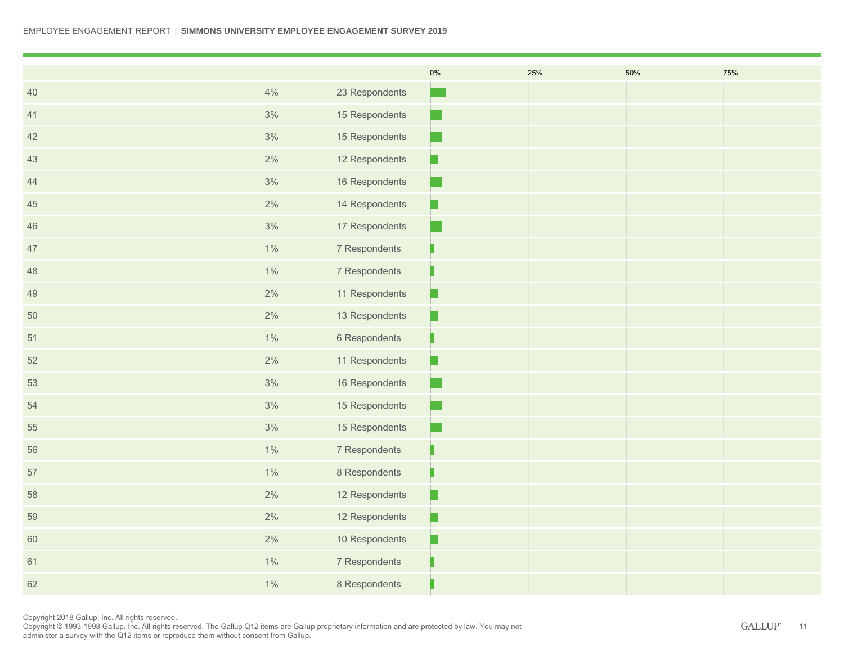|        |       |                | $0\%$                  | 25% | 50% | 75% |
|--------|-------|----------------|------------------------|-----|-----|-----|
| 40     | 4%    | 23 Respondents |                        |     |     |     |
| 41     | 3%    | 15 Respondents | L.                     |     |     |     |
| 42     | 3%    | 15 Respondents | T.                     |     |     |     |
| 43     | $2\%$ | 12 Respondents | Ω                      |     |     |     |
| 44     | 3%    | 16 Respondents |                        |     |     |     |
| $45\,$ | 2%    | 14 Respondents | μ                      |     |     |     |
| 46     | 3%    | 17 Respondents |                        |     |     |     |
| 47     | 1%    | 7 Respondents  |                        |     |     |     |
| 48     | $1\%$ | 7 Respondents  |                        |     |     |     |
| 49     | $2\%$ | 11 Respondents | μ                      |     |     |     |
| 50     | $2\%$ | 13 Respondents | □                      |     |     |     |
| 51     | $1\%$ | 6 Respondents  |                        |     |     |     |
| $52\,$ | 2%    | 11 Respondents | μ                      |     |     |     |
| 53     | 3%    | 16 Respondents |                        |     |     |     |
| 54     | 3%    | 15 Respondents | <b>Service Service</b> |     |     |     |
| 55     | 3%    | 15 Respondents |                        |     |     |     |
| 56     | $1\%$ | 7 Respondents  |                        |     |     |     |
| 57     | $1\%$ | 8 Respondents  |                        |     |     |     |
| 58     | $2\%$ | 12 Respondents | P                      |     |     |     |
| 59     | 2%    | 12 Respondents | μ                      |     |     |     |
| 60     | 2%    | 10 Respondents | þ.                     |     |     |     |
| 61     | $1\%$ | 7 Respondents  |                        |     |     |     |
| 62     | $1\%$ | 8 Respondents  |                        |     |     |     |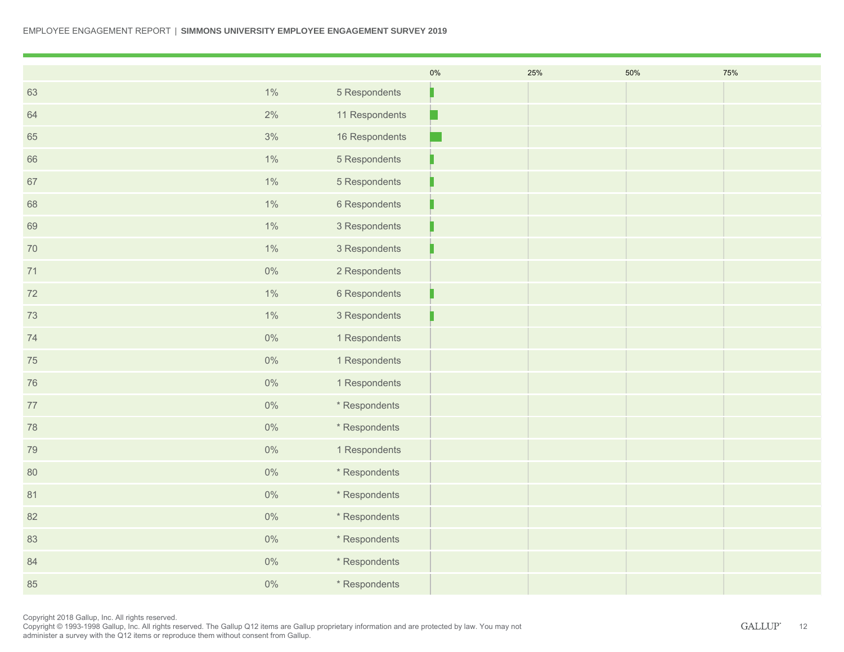|        |       |                | $0\%$ | 25% | 50% | 75% |
|--------|-------|----------------|-------|-----|-----|-----|
| 63     | $1\%$ | 5 Respondents  |       |     |     |     |
| 64     | $2\%$ | 11 Respondents | Ω     |     |     |     |
| 65     | 3%    | 16 Respondents |       |     |     |     |
| 66     | $1\%$ | 5 Respondents  |       |     |     |     |
| 67     | $1\%$ | 5 Respondents  |       |     |     |     |
| 68     | $1\%$ | 6 Respondents  |       |     |     |     |
| 69     | $1\%$ | 3 Respondents  |       |     |     |     |
| 70     | $1\%$ | 3 Respondents  |       |     |     |     |
| 71     | $0\%$ | 2 Respondents  |       |     |     |     |
| 72     | $1\%$ | 6 Respondents  |       |     |     |     |
| $73\,$ | 1%    | 3 Respondents  |       |     |     |     |
| 74     | $0\%$ | 1 Respondents  |       |     |     |     |
| 75     | $0\%$ | 1 Respondents  |       |     |     |     |
| 76     | $0\%$ | 1 Respondents  |       |     |     |     |
| 77     | $0\%$ | * Respondents  |       |     |     |     |
| $78\,$ | $0\%$ | * Respondents  |       |     |     |     |
| 79     | $0\%$ | 1 Respondents  |       |     |     |     |
| 80     | $0\%$ | * Respondents  |       |     |     |     |
| 81     | $0\%$ | * Respondents  |       |     |     |     |
| 82     | $0\%$ | * Respondents  |       |     |     |     |
| 83     | $0\%$ | * Respondents  |       |     |     |     |
| 84     | $0\%$ | * Respondents  |       |     |     |     |
| 85     | $0\%$ | * Respondents  |       |     |     |     |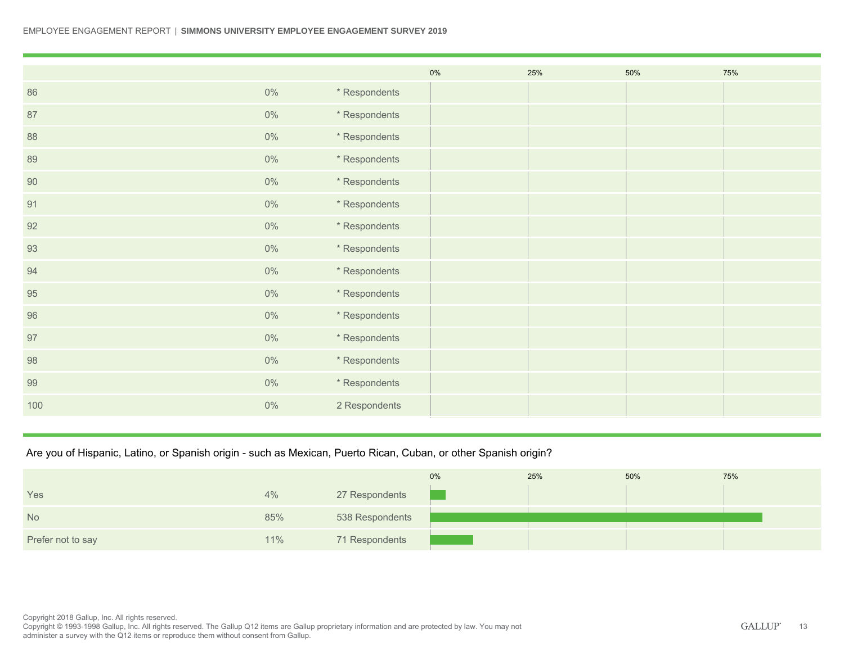#### EMPLOYEE ENGAGEMENT REPORT | **SIMMONS UNIVERSITY EMPLOYEE ENGAGEMENT SURVEY 2019**

|     |       |               | $0\%$ | 25% | 50% | 75% |
|-----|-------|---------------|-------|-----|-----|-----|
| 86  | $0\%$ | * Respondents |       |     |     |     |
| 87  | $0\%$ | * Respondents |       |     |     |     |
| 88  | $0\%$ | * Respondents |       |     |     |     |
| 89  | $0\%$ | * Respondents |       |     |     |     |
| 90  | $0\%$ | * Respondents |       |     |     |     |
| 91  | $0\%$ | * Respondents |       |     |     |     |
| 92  | $0\%$ | * Respondents |       |     |     |     |
| 93  | $0\%$ | * Respondents |       |     |     |     |
| 94  | $0\%$ | * Respondents |       |     |     |     |
| 95  | $0\%$ | * Respondents |       |     |     |     |
| 96  | $0\%$ | * Respondents |       |     |     |     |
| 97  | $0\%$ | * Respondents |       |     |     |     |
| 98  | $0\%$ | * Respondents |       |     |     |     |
| 99  | $0\%$ | * Respondents |       |     |     |     |
| 100 | $0\%$ | 2 Respondents |       |     |     |     |

### Are you of Hispanic, Latino, or Spanish origin - such as Mexican, Puerto Rican, Cuban, or other Spanish origin?

|                   |     |                 | 0% | 25% | 50% | 75% |
|-------------------|-----|-----------------|----|-----|-----|-----|
| Yes               | 4%  | 27 Respondents  |    |     |     |     |
| <b>No</b>         | 85% | 538 Respondents |    |     |     |     |
| Prefer not to say | 11% | 71 Respondents  |    |     |     |     |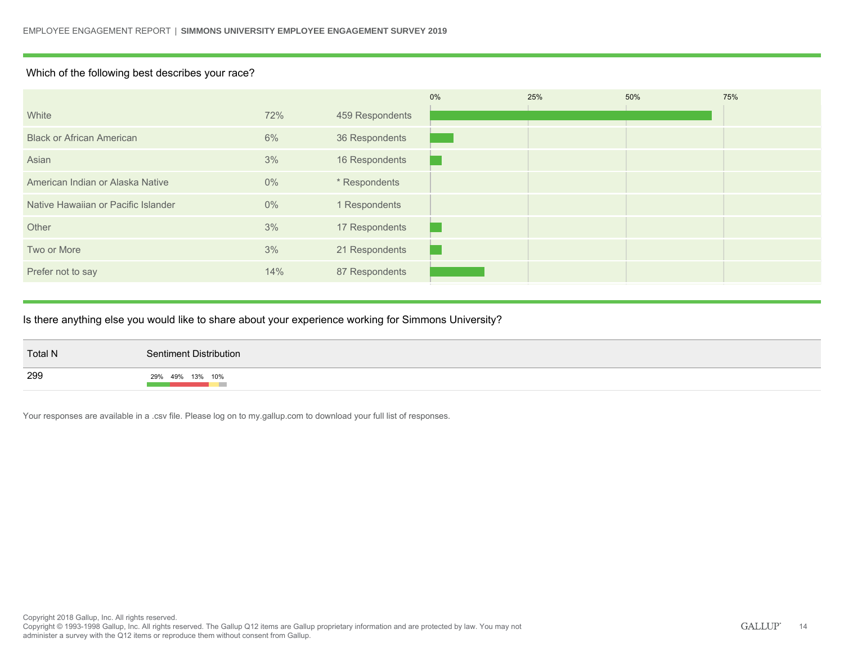### Which of the following best describes your race?

|                                     |       |                 | 0% | 25% | 50% | 75% |
|-------------------------------------|-------|-----------------|----|-----|-----|-----|
| White                               | 72%   | 459 Respondents |    |     |     |     |
| <b>Black or African American</b>    | 6%    | 36 Respondents  |    |     |     |     |
| Asian                               | 3%    | 16 Respondents  |    |     |     |     |
| American Indian or Alaska Native    | $0\%$ | * Respondents   |    |     |     |     |
| Native Hawaiian or Pacific Islander | $0\%$ | 1 Respondents   |    |     |     |     |
| Other                               | 3%    | 17 Respondents  |    |     |     |     |
| Two or More                         | 3%    | 21 Respondents  |    |     |     |     |
| Prefer not to say                   | 14%   | 87 Respondents  |    |     |     |     |
|                                     |       |                 |    |     |     |     |

### Is there anything else you would like to share about your experience working for Simmons University?

| <b>Total N</b> | Sentiment Distribution_ |
|----------------|-------------------------|
| 299            | 29% 49% 13% 10%         |

Your responses are available in a .csv file. Please log on to my.gallup.com to download your full list of responses.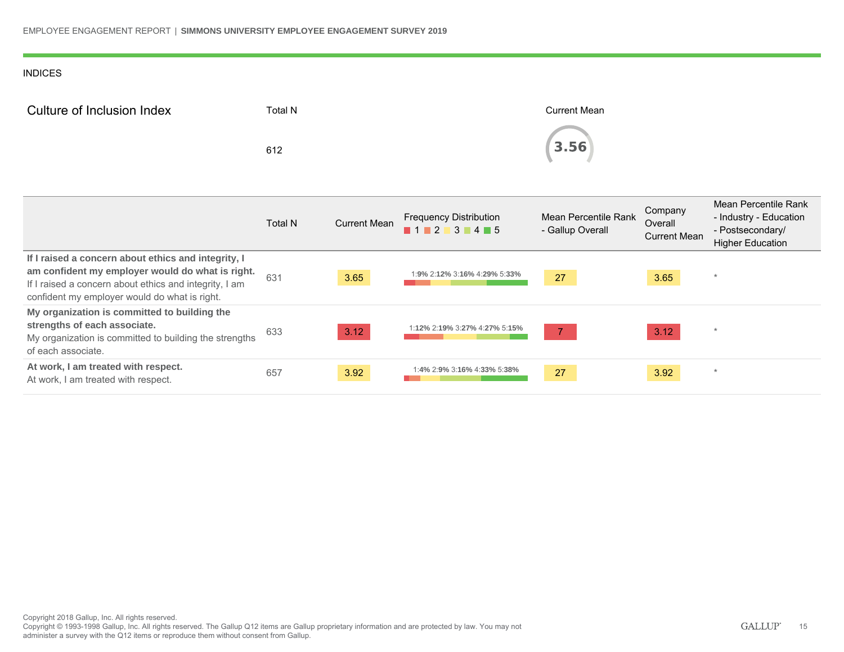### INDICES

| Culture of Inclusion Index | Total N | <b>Current Mean</b> |
|----------------------------|---------|---------------------|
|                            | 612     | (3.56)              |

|                                                                                                                                                                                                                    | <b>Total N</b> | <b>Current Mean</b> | <b>Frequency Distribution</b><br>1 1 2 3 4 5 | Mean Percentile Rank<br>- Gallup Overall | Company<br>Overall<br><b>Current Mean</b> | Mean Percentile Rank<br>- Industry - Education<br>- Postsecondary/<br><b>Higher Education</b> |
|--------------------------------------------------------------------------------------------------------------------------------------------------------------------------------------------------------------------|----------------|---------------------|----------------------------------------------|------------------------------------------|-------------------------------------------|-----------------------------------------------------------------------------------------------|
| If I raised a concern about ethics and integrity, I<br>am confident my employer would do what is right.<br>If I raised a concern about ethics and integrity, I am<br>confident my employer would do what is right. | 631            | 3.65                | 1:9% 2:12% 3:16% 4:29% 5:33%                 | 27                                       | 3.65                                      | $\star$                                                                                       |
| My organization is committed to building the<br>strengths of each associate.<br>My organization is committed to building the strengths<br>of each associate.                                                       | 633            | 3.12                | :12% 2:19% 3:27% 4:27% 5:15%                 | $\overline{7}$                           | 3.12                                      | $\star$                                                                                       |
| At work, I am treated with respect.<br>At work, I am treated with respect.                                                                                                                                         | 657            | 3.92                | 1:4% 2:9% 3:16% 4:33% 5:38%                  | 27                                       | 3.92                                      | $\star$                                                                                       |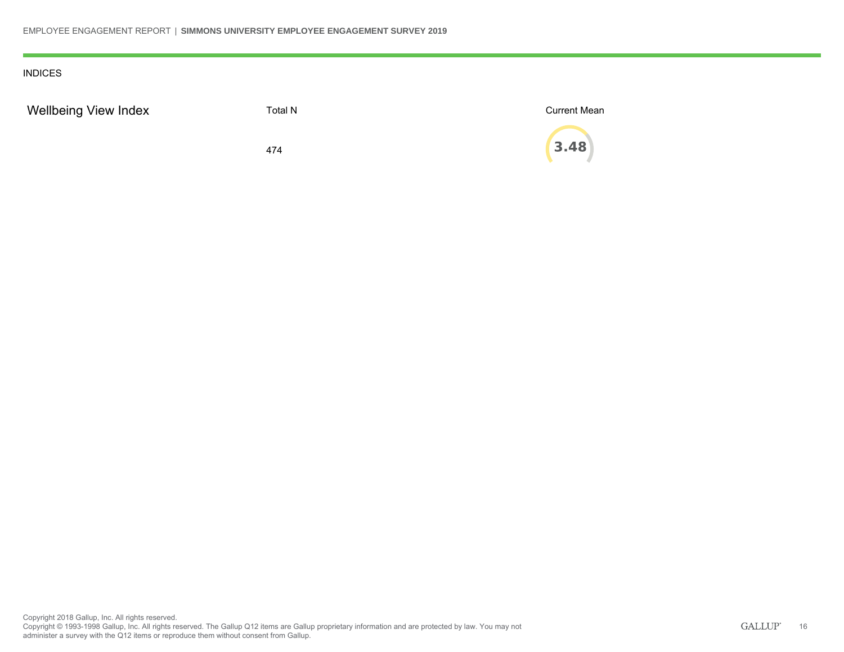### INDICES

| <b>Wellbeing View Index</b> | Total N | <b>Current Mean</b> |
|-----------------------------|---------|---------------------|
|                             | 474     | $\binom{1}{3.48}$   |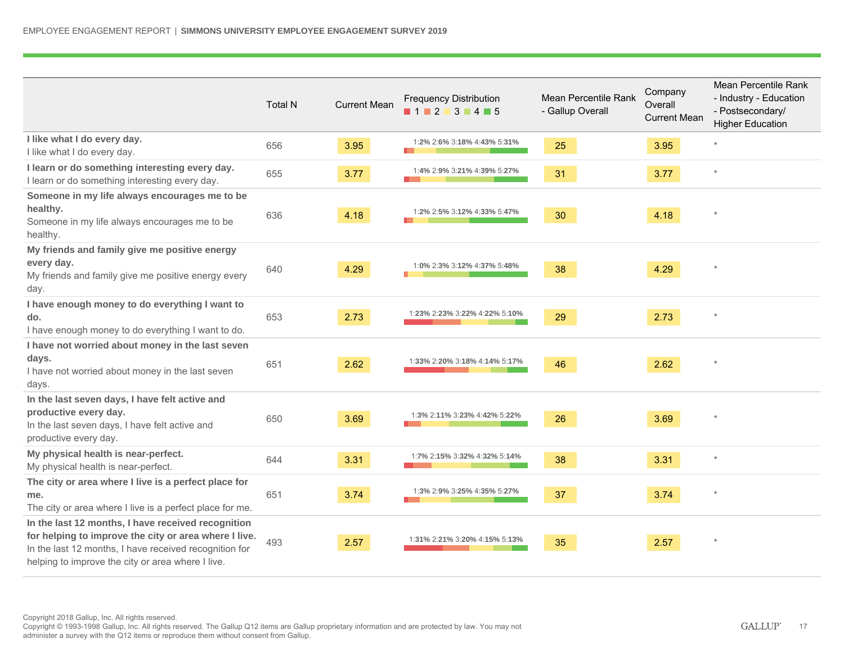|                                                                                                                                                                                                                            | <b>Total N</b> | <b>Current Mean</b> | <b>Frequency Distribution</b><br>11213145 | Mean Percentile Rank<br>- Gallup Overall | Company<br>Overall<br><b>Current Mean</b> | Mean Percentile Rank<br>- Industry - Education<br>- Postsecondary/<br><b>Higher Education</b> |
|----------------------------------------------------------------------------------------------------------------------------------------------------------------------------------------------------------------------------|----------------|---------------------|-------------------------------------------|------------------------------------------|-------------------------------------------|-----------------------------------------------------------------------------------------------|
| I like what I do every day.<br>I like what I do every day.                                                                                                                                                                 | 656            | 3.95                | 1:2% 2:6% 3:18% 4:43% 5:31%               | 25                                       | 3.95                                      | $\star$                                                                                       |
| I learn or do something interesting every day.<br>I learn or do something interesting every day.                                                                                                                           | 655            | 3.77                | 1:4% 2:9% 3:21% 4:39% 5:27%               | 31                                       | 3.77                                      | $\star$                                                                                       |
| Someone in my life always encourages me to be<br>healthy.<br>Someone in my life always encourages me to be<br>healthy.                                                                                                     | 636            | 4.18                | 1:2% 2:5% 3:12% 4:33% 5:47%               | 30                                       | 4.18                                      | $\star$                                                                                       |
| My friends and family give me positive energy<br>every day.<br>My friends and family give me positive energy every<br>day.                                                                                                 | 640            | 4.29                | 1:0% 2:3% 3:12% 4:37% 5:48%               | 38                                       | 4.29                                      | $\star$                                                                                       |
| I have enough money to do everything I want to<br>do.<br>I have enough money to do everything I want to do.                                                                                                                | 653            | 2.73                | 1:23% 2:23% 3:22% 4:22% 5:10%             | 29                                       | 2.73                                      |                                                                                               |
| I have not worried about money in the last seven<br>days.<br>I have not worried about money in the last seven<br>days.                                                                                                     | 651            | 2.62                | 1:33% 2:20% 3:18% 4:14% 5:17%             | 46                                       | 2.62                                      | $\star$                                                                                       |
| In the last seven days, I have felt active and<br>productive every day.<br>In the last seven days, I have felt active and<br>productive every day.                                                                         | 650            | 3.69                | 1:3% 2:11% 3:23% 4:42% 5:22%              | 26                                       | 3.69                                      | $\star$                                                                                       |
| My physical health is near-perfect.<br>My physical health is near-perfect.                                                                                                                                                 | 644            | 3.31                | 1:7% 2:15% 3:32% 4:32% 5:14%              | 38                                       | 3.31                                      | $\star$                                                                                       |
| The city or area where I live is a perfect place for<br>me.<br>The city or area where I live is a perfect place for me.                                                                                                    | 651            | 3.74                | 1:3% 2:9% 3:25% 4:35% 5:27%               | 37                                       | 3.74                                      | $\star$                                                                                       |
| In the last 12 months, I have received recognition<br>for helping to improve the city or area where I live.<br>In the last 12 months, I have received recognition for<br>helping to improve the city or area where I live. | 493            | 2.57                | 1:31% 2:21% 3:20% 4:15% 5:13%             | 35                                       | 2.57                                      | $\star$                                                                                       |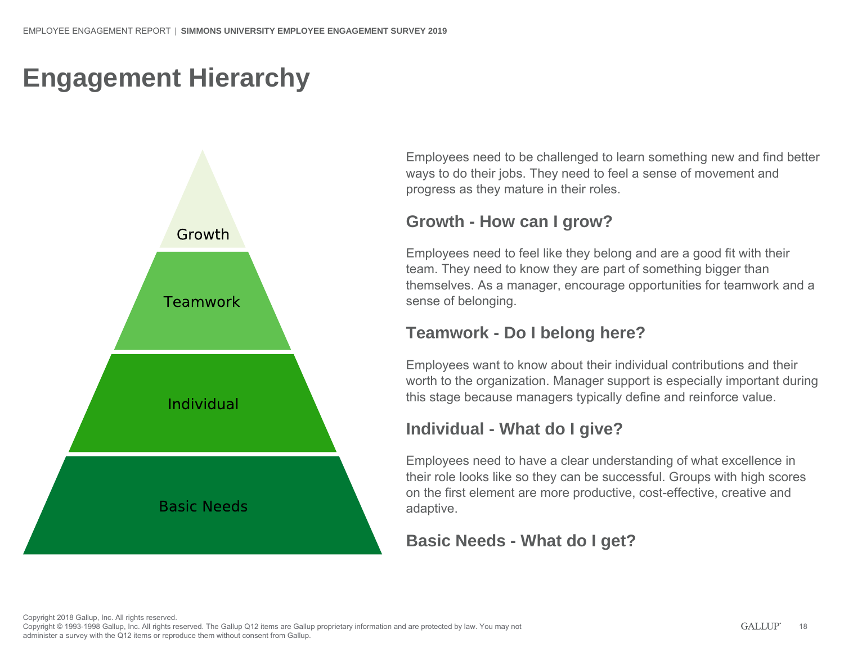# **Engagement Hierarchy**



Employees need to be challenged to learn something new and find better ways to do their jobs. They need to feel a sense of movement and progress as they mature in their roles.

### **Growth - How can I grow?**

Employees need to feel like they belong and are a good fit with their team. They need to know they are part of something bigger than themselves. As a manager, encourage opportunities for teamwork and a sense of belonging.

### **Teamwork - Do I belong here?**

Employees want to know about their individual contributions and their worth to the organization. Manager support is especially important during this stage because managers typically define and reinforce value.

### **Individual - What do I give?**

Employees need to have a clear understanding of what excellence in their role looks like so they can be successful. Groups with high scores on the first element are more productive, cost-effective, creative and adaptive.

### **Basic Needs - What do I get?**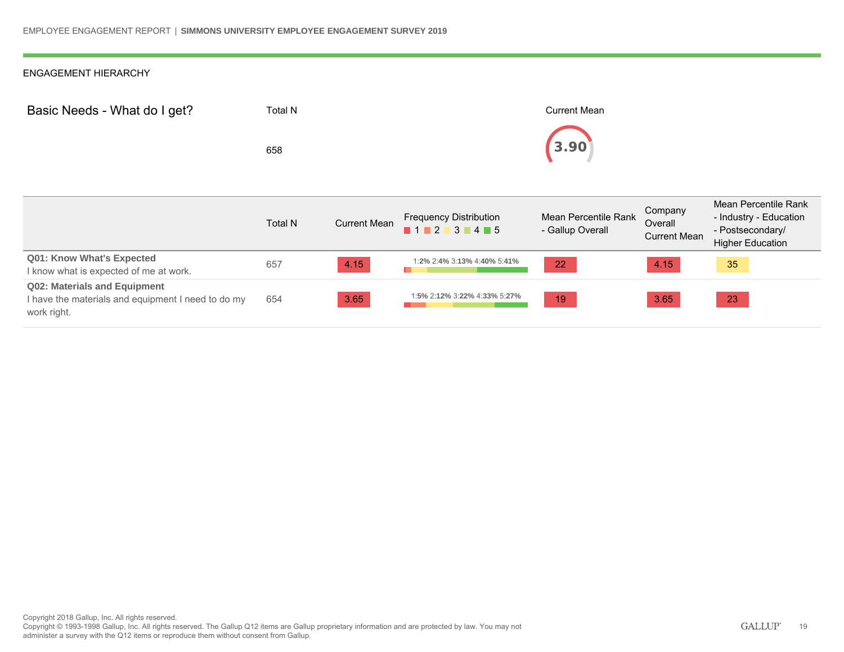| Basic Needs - What do I get? | Total N<br>658 |                                                                                                                             | <b>Current Mean</b><br>3.90              |                                           |                                                                                               |
|------------------------------|----------------|-----------------------------------------------------------------------------------------------------------------------------|------------------------------------------|-------------------------------------------|-----------------------------------------------------------------------------------------------|
|                              |                |                                                                                                                             |                                          |                                           |                                                                                               |
|                              | <b>Total N</b> | Current Mean Frequency Distribution<br>$\blacksquare$ 1 $\blacksquare$ 2 $\blacksquare$ 3 $\blacksquare$ 4 $\blacksquare$ 5 | Mean Percentile Rank<br>- Gallup Overall | Company<br>Overall<br><b>Current Mean</b> | Mean Percentile Rank<br>- Industry - Education<br>- Postsecondary/<br><b>Higher Education</b> |

|                                                                                                   |     |      |                              |    |      | THUIL LUUCUUI |
|---------------------------------------------------------------------------------------------------|-----|------|------------------------------|----|------|---------------|
| Q01: Know What's Expected<br>I know what is expected of me at work.                               | 657 | 4.15 | 1:2% 2:4% 3:13% 4:40% 5:41%  | 22 | 4.15 | 35            |
| Q02: Materials and Equipment<br>I have the materials and equipment I need to do my<br>work right. | 654 | 3.65 | 1:5% 2:12% 3:22% 4:33% 5:27% | 19 | 3.65 | 23            |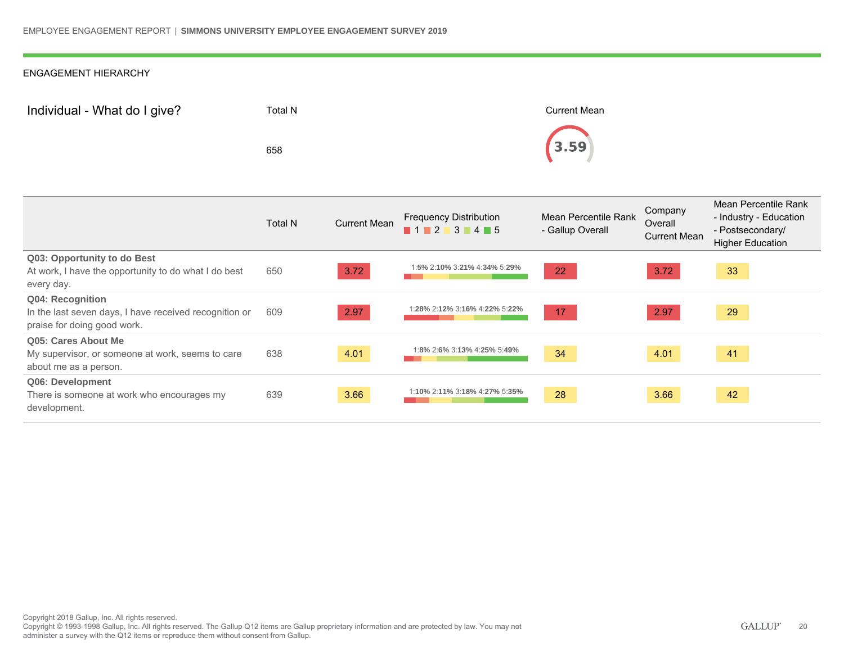| Individual - What do I give? | Total N | Current Mean |
|------------------------------|---------|--------------|
|                              | 658     | (3.59)       |

|                                                                                                           | Total N | <b>Current Mean</b> | <b>Frequency Distribution</b><br>$1$ 1 2 3 4 5 | Mean Percentile Rank<br>- Gallup Overall | Company<br>Overall<br><b>Current Mean</b> | Mean Percentile Rank<br>- Industry - Education<br>- Postsecondary/<br><b>Higher Education</b> |
|-----------------------------------------------------------------------------------------------------------|---------|---------------------|------------------------------------------------|------------------------------------------|-------------------------------------------|-----------------------------------------------------------------------------------------------|
| Q03: Opportunity to do Best<br>At work, I have the opportunity to do what I do best<br>every day.         | 650     | 3.72                | 1:5% 2:10% 3:21% 4:34% 5:29%                   | 22                                       | 3.72                                      | 33                                                                                            |
| Q04: Recognition<br>In the last seven days, I have received recognition or<br>praise for doing good work. | 609     | 2.97                | 1:28% 2:12% 3:16% 4:22% 5:22%                  | 17                                       | 2.97                                      | 29                                                                                            |
| Q05: Cares About Me<br>My supervisor, or someone at work, seems to care<br>about me as a person.          | 638     | 4.01                | 1:8% 2:6% 3:13% 4:25% 5:49%                    | 34                                       | 4.01                                      | 41                                                                                            |
| Q06: Development<br>There is someone at work who encourages my<br>development.                            | 639     | 3.66                | 1:10% 2:11% 3:18% 4:27% 5:35%                  | 28                                       | 3.66                                      | 42                                                                                            |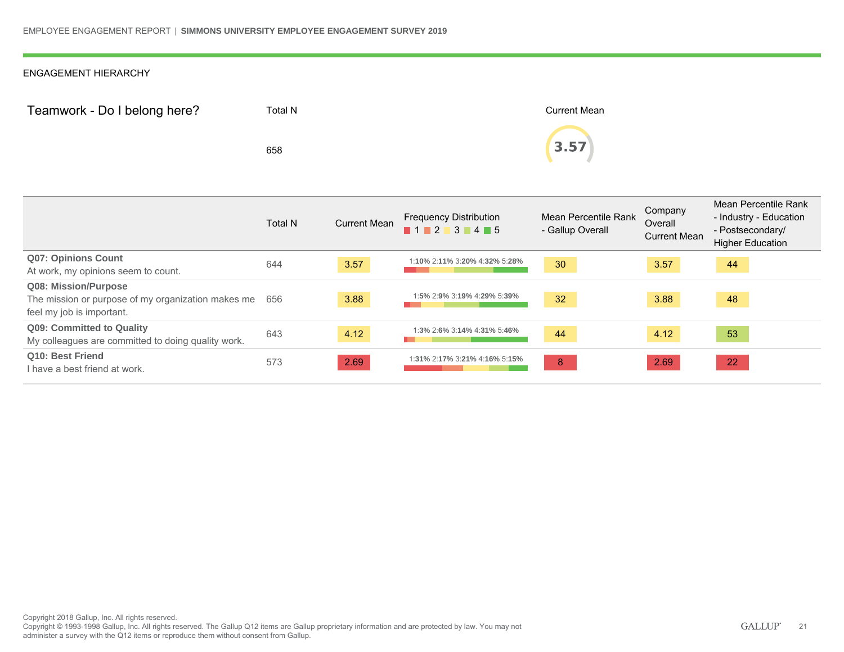| Teamwork - Do I belong here? | Total N | <b>Current Mean</b> |  |
|------------------------------|---------|---------------------|--|
|                              | 658     | 3.57                |  |

|                                                                                                         | <b>Total N</b> | <b>Current Mean</b> | <b>Frequency Distribution</b><br>$1$ 1 2 3 4 5 | Mean Percentile Rank<br>- Gallup Overall | Company<br>Overall<br><b>Current Mean</b> | Mean Percentile Rank<br>- Industry - Education<br>- Postsecondary/<br><b>Higher Education</b> |
|---------------------------------------------------------------------------------------------------------|----------------|---------------------|------------------------------------------------|------------------------------------------|-------------------------------------------|-----------------------------------------------------------------------------------------------|
| <b>Q07: Opinions Count</b>                                                                              | 644            | 3.57                | 1:10% 2:11% 3:20% 4:32% 5:28%                  | 30                                       | 3.57                                      | 44                                                                                            |
| At work, my opinions seem to count.                                                                     |                |                     |                                                |                                          |                                           |                                                                                               |
| Q08: Mission/Purpose<br>The mission or purpose of my organization makes me<br>feel my job is important. | 656            | 3.88                | 1:5% 2:9% 3:19% 4:29% 5:39%                    | 32                                       | 3.88                                      | 48                                                                                            |
| <b>Q09: Committed to Quality</b><br>My colleagues are committed to doing quality work.                  | 643            | 4.12                | 1:3% 2:6% 3:14% 4:31% 5:46%                    | 44                                       | 4.12                                      | 53                                                                                            |
| Q10: Best Friend<br>I have a best friend at work.                                                       | 573            | 2.69                | 1:31% 2:17% 3:21% 4:16% 5:15%                  | 8                                        | 2.69                                      | 22                                                                                            |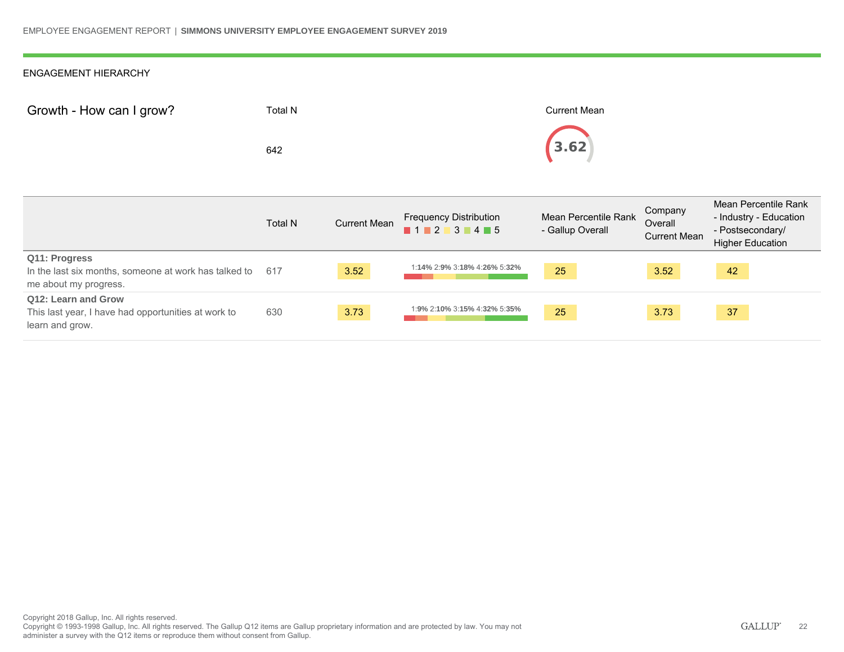| Growth - How can I grow? | Total N | <b>Current Mean</b> |
|--------------------------|---------|---------------------|
|                          | 642     | (3.62)              |

|                                                                                                 | <b>Total N</b> | <b>Current Mean</b> | <b>Frequency Distribution</b><br>$\blacksquare$ 1 $\blacksquare$ 2 $\blacksquare$ 3 $\blacksquare$ 4 $\blacksquare$ 5 | Mean Percentile Rank<br>- Gallup Overall | Company<br>Overall<br><b>Current Mean</b> | Mean Percentile Rank<br>- Industry - Education<br>- Postsecondary/<br><b>Higher Education</b> |
|-------------------------------------------------------------------------------------------------|----------------|---------------------|-----------------------------------------------------------------------------------------------------------------------|------------------------------------------|-------------------------------------------|-----------------------------------------------------------------------------------------------|
| Q11: Progress<br>In the last six months, someone at work has talked to<br>me about my progress. | 617            | 3.52                | 1:14% 2:9% 3:18% 4:26% 5:32%                                                                                          | 25                                       | 3.52                                      | 42                                                                                            |
| Q12: Learn and Grow<br>This last year, I have had opportunities at work to<br>learn and grow.   | 630            | 3.73                | 1:9% 2:10% 3:15% 4:32% 5:35%                                                                                          | 25                                       | 3.73                                      | 37                                                                                            |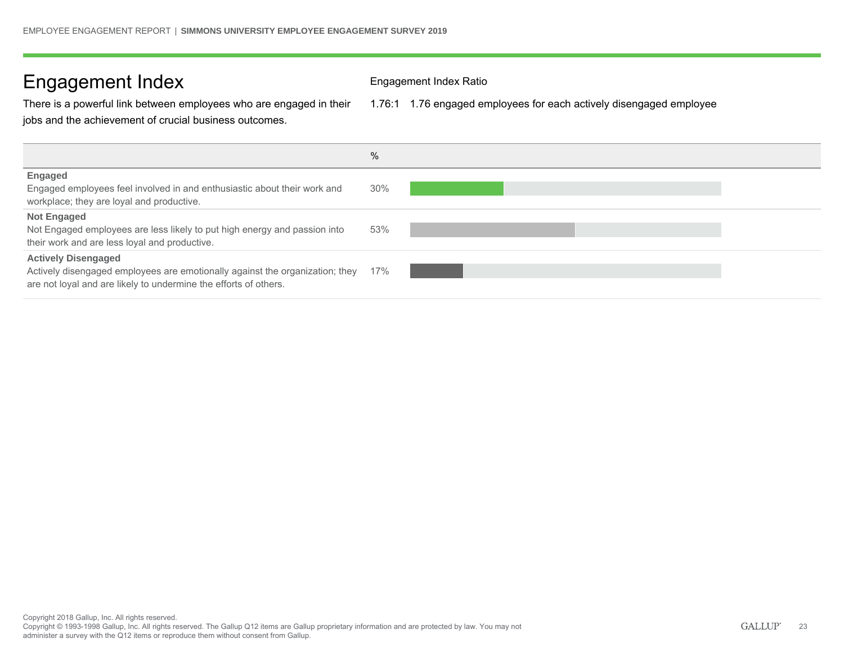### Engagement Index Engagement Index Ratio

There is a powerful link between employees who are engaged in their jobs and the achievement of crucial business outcomes.

1.76:1 1.76 engaged employees for each actively disengaged employee

|                                                                                                                                                                                | %   |
|--------------------------------------------------------------------------------------------------------------------------------------------------------------------------------|-----|
| <b>Engaged</b><br>Engaged employees feel involved in and enthusiastic about their work and<br>workplace; they are loyal and productive.                                        | 30% |
| <b>Not Engaged</b><br>Not Engaged employees are less likely to put high energy and passion into<br>their work and are less loyal and productive.                               | 53% |
| <b>Actively Disengaged</b><br>Actively disengaged employees are emotionally against the organization; they<br>are not loyal and are likely to undermine the efforts of others. | 17% |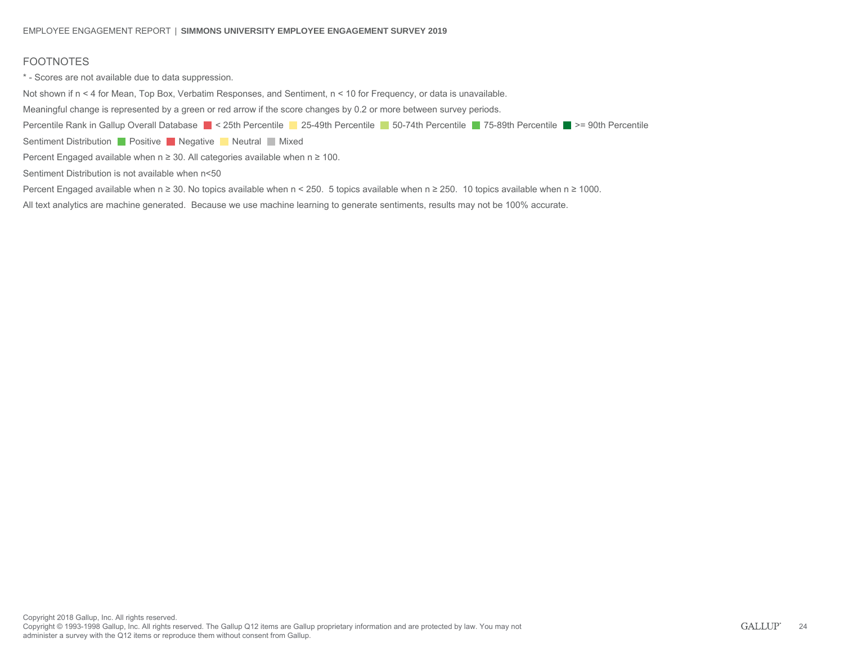### FOOTNOTES

\* - Scores are not available due to data suppression.

Not shown if n < 4 for Mean, Top Box, Verbatim Responses, and Sentiment, n < 10 for Frequency, or data is unavailable.

Meaningful change is represented by a green or red arrow if the score changes by 0.2 or more between survey periods.

Percentile Rank in Gallup Overall Database < 25th Percentile < 25-49th Percentile 50-74th Percentile < 75-89th Percentile < 90th Percentile

Sentiment Distribution **Positive Negative Neutral Mixed** 

Percent Engaged available when  $n \geq 30$ . All categories available when  $n \geq 100$ .

Sentiment Distribution is not available when n<50

Percent Engaged available when n ≥ 30. No topics available when n < 250. 5 topics available when n ≥ 250. 10 topics available when n ≥ 1000.

All text analytics are machine generated. Because we use machine learning to generate sentiments, results may not be 100% accurate.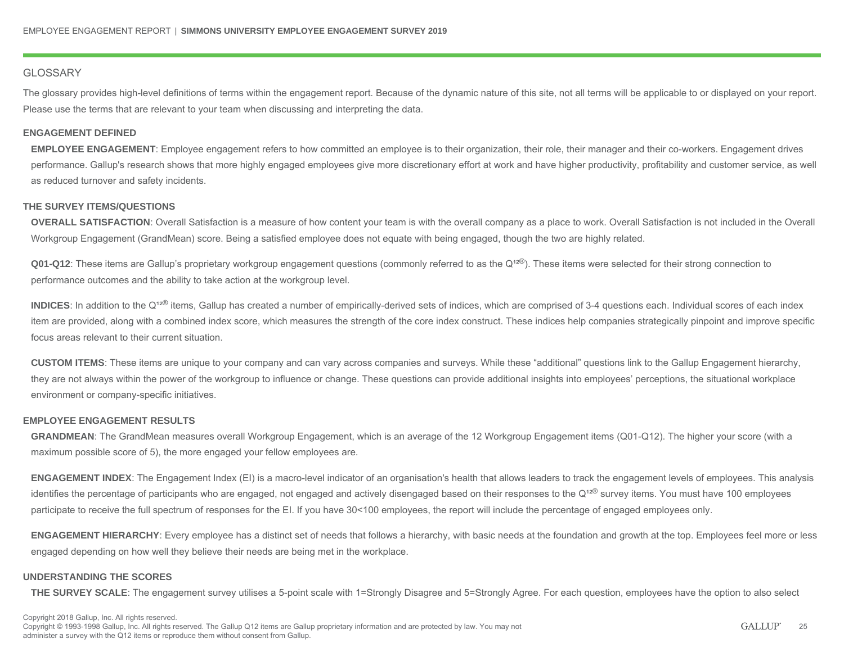### **GLOSSARY**

The glossary provides high-level definitions of terms within the engagement report. Because of the dynamic nature of this site, not all terms will be applicable to or displayed on your report. Please use the terms that are relevant to your team when discussing and interpreting the data.

### **ENGAGEMENT DEFINED**

**EMPLOYEE ENGAGEMENT**: Employee engagement refers to how committed an employee is to their organization, their role, their manager and their co-workers. Engagement drives performance. Gallup's research shows that more highly engaged employees give more discretionary effort at work and have higher productivity, profitability and customer service, as well as reduced turnover and safety incidents.

### **THE SURVEY ITEMS/QUESTIONS**

**OVERALL SATISFACTION**: Overall Satisfaction is a measure of how content your team is with the overall company as a place to work. Overall Satisfaction is not included in the Overall Workgroup Engagement (GrandMean) score. Being a satisfied employee does not equate with being engaged, though the two are highly related.

**Q01-Q12**: These items are Gallup's proprietary workgroup engagement questions (commonly referred to as the Q<sup>12®</sup>). These items were selected for their strong connection to performance outcomes and the ability to take action at the workgroup level.

INDICES: In addition to the Q<sup>12®</sup> items, Gallup has created a number of empirically-derived sets of indices, which are comprised of 3-4 questions each. Individual scores of each index item are provided, along with a combined index score, which measures the strength of the core index construct. These indices help companies strategically pinpoint and improve specific focus areas relevant to their current situation.

**CUSTOM ITEMS**: These items are unique to your company and can vary across companies and surveys. While these "additional" questions link to the Gallup Engagement hierarchy, they are not always within the power of the workgroup to influence or change. These questions can provide additional insights into employees' perceptions, the situational workplace environment or company-specific initiatives.

#### **EMPLOYEE ENGAGEMENT RESULTS**

**GRANDMEAN**: The GrandMean measures overall Workgroup Engagement, which is an average of the 12 Workgroup Engagement items (Q01-Q12). The higher your score (with a maximum possible score of 5), the more engaged your fellow employees are.

**ENGAGEMENT INDEX**: The Engagement Index (EI) is a macro-level indicator of an organisation's health that allows leaders to track the engagement levels of employees. This analysis identifies the percentage of participants who are engaged, not engaged and actively disengaged based on their responses to the Q<sup>12®</sup> survey items. You must have 100 employees participate to receive the full spectrum of responses for the EI. If you have 30<100 employees, the report will include the percentage of engaged employees only.

**ENGAGEMENT HIERARCHY**: Every employee has a distinct set of needs that follows a hierarchy, with basic needs at the foundation and growth at the top. Employees feel more or less engaged depending on how well they believe their needs are being met in the workplace.

#### **UNDERSTANDING THE SCORES**

**THE SURVEY SCALE**: The engagement survey utilises a 5-point scale with 1=Strongly Disagree and 5=Strongly Agree. For each question, employees have the option to also select